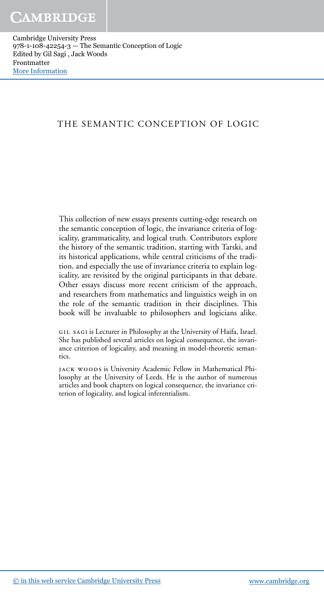#### THE SEMANTIC CONCEPTION OF LOGIC

This collection of new essays presents cutting-edge research on the semantic conception of logic, the invariance criteria of logicality, grammaticality, and logical truth. Contributors explore the history of the semantic tradition, starting with Tarski, and its historical applications, while central criticisms of the tradition, and especially the use of invariance criteria to explain logicality, are revisited by the original participants in that debate. Other essays discuss more recent criticism of the approach, and researchers from mathematics and linguistics weigh in on the role of the semantic tradition in their disciplines. This book will be invaluable to philosophers and logicians alike.

gil sagi is Lecturer in Philosophy at the University of Haifa, Israel. She has published several articles on logical consequence, the invariance criterion of logicality, and meaning in model-theoretic semantics.

jack woods is University Academic Fellow in Mathematical Philosophy at the University of Leeds. He is the author of numerous articles and book chapters on logical consequence, the invariance criterion of logicality, and logical inferentialism.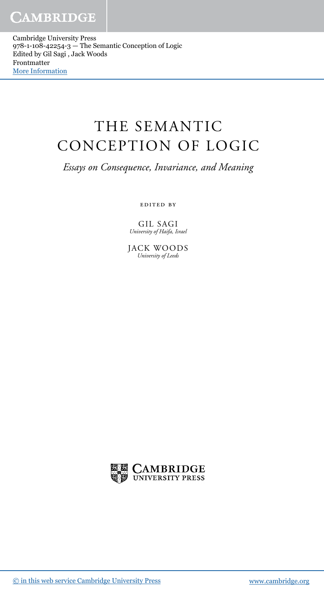# THE SEMANTIC CONCEPTION OF LOGIC

*Essays on Consequence, Invariance, and Meaning*

edited by

GIL SAGI *University of Haifa, Israel*

JACK WOODS *University of Leeds*

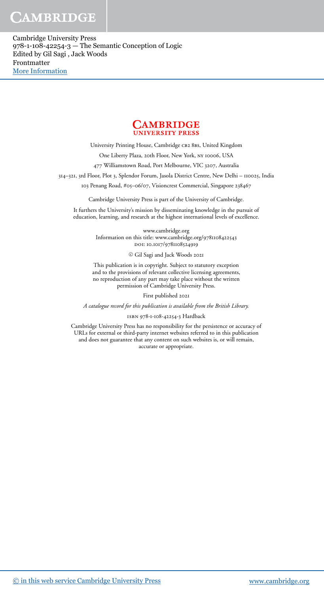## CAMBRIDGE

Cambridge University Press  $978-1-108-42254-3$  – The Semantic Conception of Logic Edited by Gil Sagi , Jack Woods Frontmatter [More Information](www.cambridge.org/9781108422543)



University Printing House, Cambridge CB2 8BS, United Kingdom One Liberty Plaza, 20th Floor, New York, NY 10006, USA 477 Williamstown Road, Port Melbourne, VIC 3207, Australia

314-321, 3rd Floor, Plot 3, Splendor Forum, Jasola District Centre, New Delhi - 110025, India

103 Penang Road, #05-06/07, Visioncrest Commercial, Singapore 238467

Cambridge University Press is part of the University of Cambridge.

It furthers the University's mission by disseminating knowledge in the pursuit of education, learning, and research at the highest international levels of excellence.

> www.cambridge.org Information on this title: www.cambridge.org/ doi: 10.1017/9781108524919

> > © Gil Sagi and Jack Woods 2021

This publication is in copyright. Subject to statutory exception and to the provisions of relevant collective licensing agreements, no reproduction of any part may take place without the written permission of Cambridge University Press.

First published 2021

A catalogue record for this publication is available from the British Library.

#### 1SBN 978-1-108-42254-3 Hardback

Cambridge University Press has no responsibility for the persistence or accuracy of URLs for external or third-party internet websites referred to in this publication and does not guarantee that any content on such websites is, or will remain, accurate or appropriate.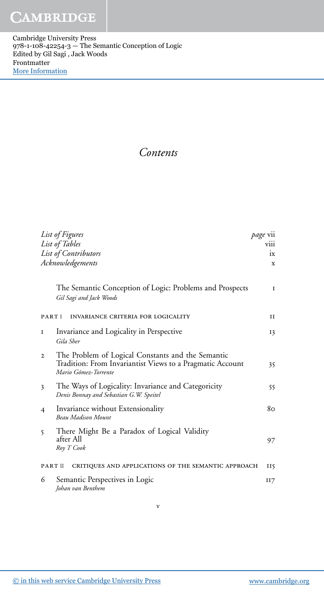#### *Contents*

| List of Figures<br>List of Tables                                                                                                                      | <i>page</i> vii<br><b>V111</b> |
|--------------------------------------------------------------------------------------------------------------------------------------------------------|--------------------------------|
| List of Contributors                                                                                                                                   | ix                             |
| Acknowledgements                                                                                                                                       | X                              |
| The Semantic Conception of Logic: Problems and Prospects<br>Gil Sagi and Jack Woods                                                                    | $\mathbf I$                    |
| PART I<br>INVARIANCE CRITERIA FOR LOGICALITY                                                                                                           | II                             |
| Invariance and Logicality in Perspective<br>1<br>Gila Sher                                                                                             | 13                             |
| The Problem of Logical Constants and the Semantic<br>$\mathbf{2}$<br>Tradition: From Invariantist Views to a Pragmatic Account<br>Mario Gómez-Torrente | 35                             |
| The Ways of Logicality: Invariance and Categoricity<br>3<br>Denis Bonnay and Sebastian G.W. Speitel                                                    | 55                             |
| Invariance without Extensionality<br>$\overline{4}$<br><b>Beau Madison Mount</b>                                                                       | 80                             |
| There Might Be a Paradox of Logical Validity<br>5<br>after All<br>Roy T Cook                                                                           | 97                             |
| PART II<br>CRITIQUES AND APPLICATIONS OF THE SEMANTIC APPROACH                                                                                         | Н5                             |
| Semantic Perspectives in Logic<br>6<br>Johan van Benthem                                                                                               | II7                            |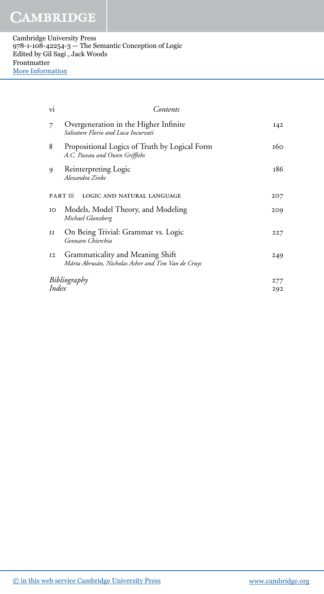| V1                                     | Contents                                                                               |            |
|----------------------------------------|----------------------------------------------------------------------------------------|------------|
| 7                                      | Overgeneration in the Higher Infinite<br>Salvatore Florio and Luca Incurvati           | 142        |
| 8                                      | Propositional Logics of Truth by Logical Form<br>A.C. Paseau and Owen Griffiths        | 160        |
| 9                                      | Reinterpreting Logic<br>Alexandra Zinke                                                | 186        |
| PART III<br>LOGIC AND NATURAL LANGUAGE |                                                                                        | 207        |
| IO                                     | Models, Model Theory, and Modeling<br>Michael Glanzberg                                | 209        |
| $_{\rm II}$                            | On Being Trivial: Grammar vs. Logic<br>Gennaro Chierchia                               | 227        |
| 12                                     | Grammaticality and Meaning Shift<br>Márta Abrusán, Nicholas Asher and Tim Van de Cruys | 249        |
| Index                                  | Bibliography                                                                           | 277<br>292 |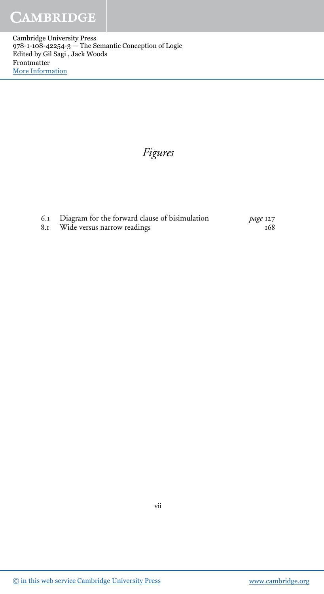### *Figures*

. Diagram for the forward clause of bisimulation *page*

Wide versus narrow readings and the state of  $168$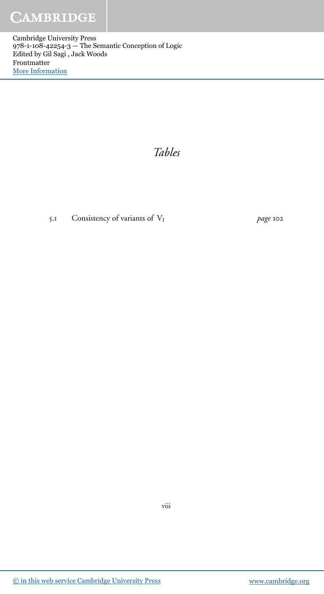*Tables*

5.1 Consistency of variants of V<sub>I</sub> page 102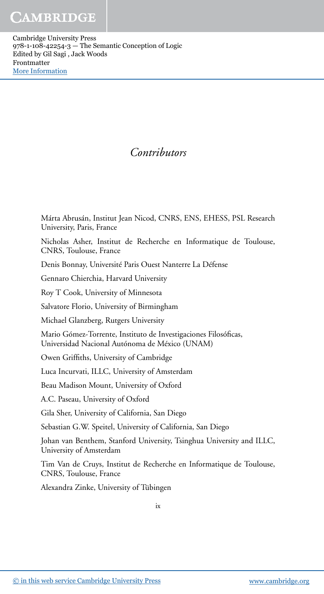### *Contributors*

Márta Abrusán, Institut Jean Nicod, CNRS, ENS, EHESS, PSL Research University, Paris, France Nicholas Asher, Institut de Recherche en Informatique de Toulouse, CNRS, Toulouse, France Denis Bonnay, Université Paris Ouest Nanterre La Défense Gennaro Chierchia, Harvard University Roy T Cook, University of Minnesota Salvatore Florio, University of Birmingham Michael Glanzberg, Rutgers University Mario Gómez-Torrente, Instituto de Investigaciones Filosóficas, Universidad Nacional Autónoma de México (UNAM) Owen Griffiths, University of Cambridge Luca Incurvati, ILLC, University of Amsterdam Beau Madison Mount, University of Oxford A.C. Paseau, University of Oxford Gila Sher, University of California, San Diego Sebastian G.W. Speitel, University of California, San Diego Johan van Benthem, Stanford University, Tsinghua University and ILLC, University of Amsterdam Tim Van de Cruys, Institut de Recherche en Informatique de Toulouse, CNRS, Toulouse, France Alexandra Zinke, University of Tübingen